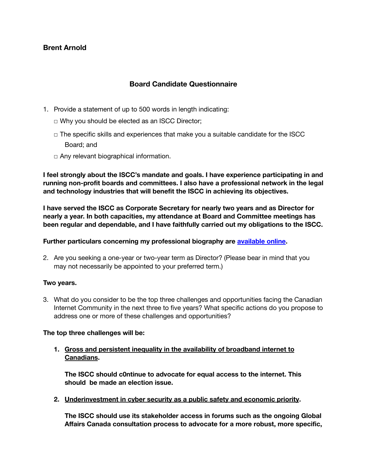# **Brent Arnold**

## **Board Candidate Questionnaire**

- 1. Provide a statement of up to 500 words in length indicating:
	- ◻ Why you should be elected as an ISCC Director;
	- $\Box$  The specific skills and experiences that make you a suitable candidate for the ISCC Board; and
	- $\Box$  Any relevant biographical information.

**I feel strongly about the ISCC's mandate and goals. I have experience participating in and running non-profit boards and committees. I also have a professional network in the legal and technology industries that will benefit the ISCC in achieving its objectives.**

**I have served the ISCC as Corporate Secretary for nearly two years and as Director for nearly a year. In both capacities, my attendance at Board and Committee meetings has been regular and dependable, and I have faithfully carried out my obligations to the ISCC.**

#### **Further particulars concerning my professional biography are [available](https://gowlingwlg.com/en/people/brent-arnold) online.**

2. Are you seeking a one-year or two-year term as Director? (Please bear in mind that you may not necessarily be appointed to your preferred term.)

#### **Two years.**

3. What do you consider to be the top three challenges and opportunities facing the Canadian Internet Community in the next three to five years? What specific actions do you propose to address one or more of these challenges and opportunities?

#### **The top three challenges will be:**

**1. Gross and persistent inequality in the availability of broadband internet to Canadians.**

**The ISCC should c0ntinue to advocate for equal access to the internet. This should be made an election issue.**

**2. Underinvestment in cyber security as a public safety and economic priority.**

**The ISCC should use its stakeholder access in forums such as the ongoing Global Affairs Canada consultation process to advocate for a more robust, more specific,**